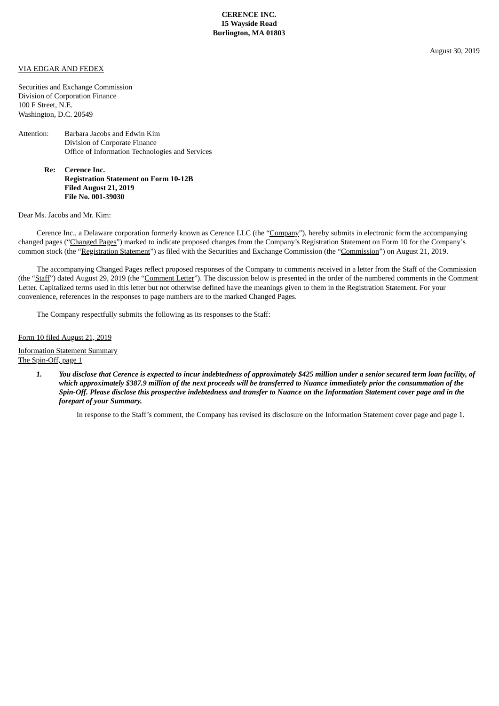## VIA EDGAR AND FEDEX

Securities and Exchange Commission Division of Corporation Finance 100 F Street, N.E. Washington, D.C. 20549

## Attention: Barbara Jacobs and Edwin Kim Division of Corporate Finance Office of Information Technologies and Services

**Re: Cerence Inc. Registration Statement on Form 10-12B Filed August 21, 2019 File No. 001-39030**

Dear Ms. Jacobs and Mr. Kim:

Cerence Inc., a Delaware corporation formerly known as Cerence LLC (the "Company"), hereby submits in electronic form the accompanying changed pages ("Changed Pages") marked to indicate proposed changes from the Company's Registration Statement on Form 10 for the Company's common stock (the "Registration Statement") as filed with the Securities and Exchange Commission (the "Commission") on August 21, 2019.

The accompanying Changed Pages reflect proposed responses of the Company to comments received in a letter from the Staff of the Commission (the "Staff") dated August 29, 2019 (the "Comment Letter"). The discussion below is presented in the order of the numbered comments in the Comment Letter. Capitalized terms used in this letter but not otherwise defined have the meanings given to them in the Registration Statement. For your convenience, references in the responses to page numbers are to the marked Changed Pages.

The Company respectfully submits the following as its responses to the Staff:

Form 10 filed August 21, 2019

Information Statement Summary

The Spin-Off, page 1

1. You disclose that Cerence is expected to incur indebtedness of approximately \$425 million under a senior secured term loan facility, of which approximately \$387.9 million of the next proceeds will be transferred to Nuance immediately prior the consummation of the Spin-Off. Please disclose this prospective indebtedness and transfer to Nuance on the Information Statement cover page and in the *forepart of your Summary.*

In response to the Staff's comment, the Company has revised its disclosure on the Information Statement cover page and page 1.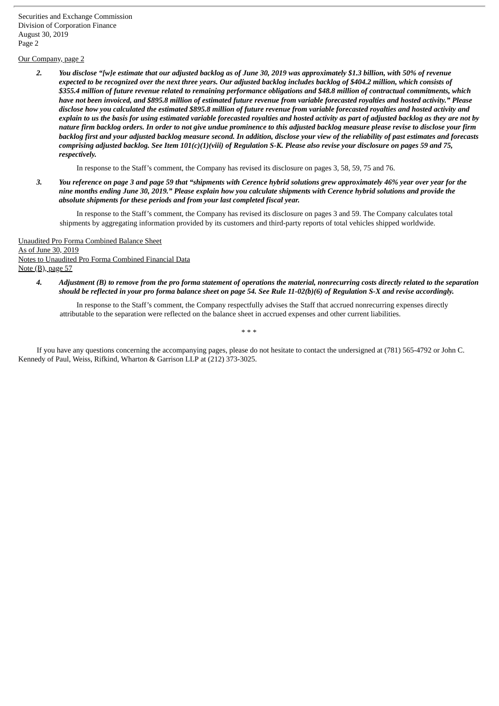Securities and Exchange Commission Division of Corporation Finance August 30, 2019 Page 2

## Our Company, page 2

2. You disclose "[w]e estimate that our adjusted backlog as of June 30, 2019 was approximately \$1.3 billion, with 50% of revenue expected to be recognized over the next three years. Our adjusted backlog includes backlog of \$404.2 million, which consists of \$355.4 million of future revenue related to remaining performance obligations and \$48.8 million of contractual commitments, which have not been invoiced, and \$895.8 million of estimated future revenue from variable forecasted royalties and hosted activity." Please disclose how you calculated the estimated \$895.8 million of future revenue from variable forecasted royalties and hosted activity and explain to us the basis for using estimated variable forecasted royalties and hosted activity as part of adjusted backlog as they are not by nature firm backlog orders. In order to not give undue prominence to this adjusted backlog measure please revise to disclose your firm backlog first and your adjusted backlog measure second. In addition, disclose your view of the reliability of past estimates and forecasts comprising adjusted backlog. See Item 101(c)(1)(viii) of Regulation S-K. Please also revise your disclosure on pages 59 and 75, *respectively.*

In response to the Staff's comment, the Company has revised its disclosure on pages 3, 58, 59, 75 and 76.

3. You reference on page 3 and page 59 that "shipments with Cerence hybrid solutions grew approximately 46% year over year for the nine months ending June 30, 2019." Please explain how you calculate shipments with Cerence hybrid solutions and provide the *absolute shipments for these periods and from your last completed fiscal year.*

In response to the Staff's comment, the Company has revised its disclosure on pages 3 and 59. The Company calculates total shipments by aggregating information provided by its customers and third-party reports of total vehicles shipped worldwide.

Unaudited Pro Forma Combined Balance Sheet As of June 30, 2019 Notes to Unaudited Pro Forma Combined Financial Data Note (B), page 57

> 4. Adjustment (B) to remove from the pro forma statement of operations the material, nonrecurring costs directly related to the separation should be reflected in your pro forma balance sheet on page 54. See Rule 11-02(b)(6) of Regulation S-X and revise accordingly.

In response to the Staff's comment, the Company respectfully advises the Staff that accrued nonrecurring expenses directly attributable to the separation were reflected on the balance sheet in accrued expenses and other current liabilities.

\* \* \*

If you have any questions concerning the accompanying pages, please do not hesitate to contact the undersigned at (781) 565-4792 or John C. Kennedy of Paul, Weiss, Rifkind, Wharton & Garrison LLP at (212) 373-3025.